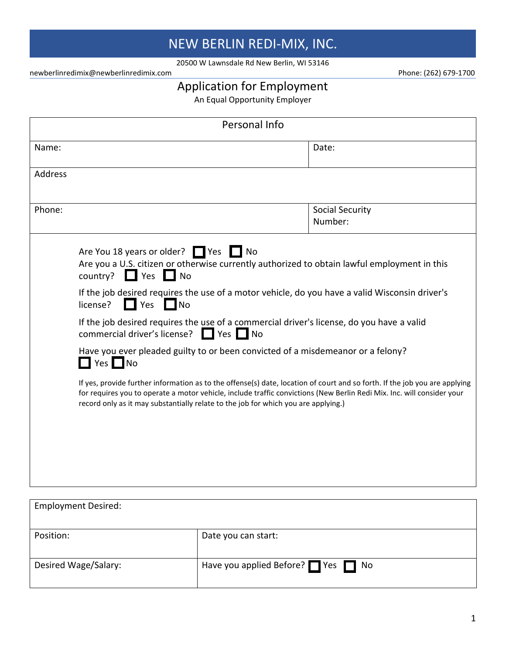## NEW BERLIN REDI-MIX, INC.

20500 W Lawnsdale Rd New Berlin, WI 53146

newberlinredimix@newberlinredimix.com Phone: (262) 679-1700

## Application for Employment

An Equal Opportunity Employer

|                |                                                                                                                                                               | Personal Info                                                                                                                                                         |                                                                                                                                                                                                                                                                                                                                                                                                                                                                                                                                                     |
|----------------|---------------------------------------------------------------------------------------------------------------------------------------------------------------|-----------------------------------------------------------------------------------------------------------------------------------------------------------------------|-----------------------------------------------------------------------------------------------------------------------------------------------------------------------------------------------------------------------------------------------------------------------------------------------------------------------------------------------------------------------------------------------------------------------------------------------------------------------------------------------------------------------------------------------------|
| Name:          |                                                                                                                                                               |                                                                                                                                                                       | Date:                                                                                                                                                                                                                                                                                                                                                                                                                                                                                                                                               |
| <b>Address</b> |                                                                                                                                                               |                                                                                                                                                                       |                                                                                                                                                                                                                                                                                                                                                                                                                                                                                                                                                     |
| Phone:         |                                                                                                                                                               |                                                                                                                                                                       | Social Security<br>Number:                                                                                                                                                                                                                                                                                                                                                                                                                                                                                                                          |
|                | Are You 18 years or older? Yes No<br>$\Box$ Yes $\Box$ No<br>country?<br>license?<br>Yes<br><b>No</b><br>commercial driver's license? ■ Yes ■ No<br>$Yes \tN$ | Have you ever pleaded guilty to or been convicted of a misdemeanor or a felony?<br>record only as it may substantially relate to the job for which you are applying.) | Are you a U.S. citizen or otherwise currently authorized to obtain lawful employment in this<br>If the job desired requires the use of a motor vehicle, do you have a valid Wisconsin driver's<br>If the job desired requires the use of a commercial driver's license, do you have a valid<br>If yes, provide further information as to the offense(s) date, location of court and so forth. If the job you are applying<br>for requires you to operate a motor vehicle, include traffic convictions (New Berlin Redi Mix. Inc. will consider your |
|                |                                                                                                                                                               |                                                                                                                                                                       |                                                                                                                                                                                                                                                                                                                                                                                                                                                                                                                                                     |

| <b>Employment Desired:</b> |                                 |
|----------------------------|---------------------------------|
| Position:                  | Date you can start:             |
| Desired Wage/Salary:       | Have you applied Before? Yes No |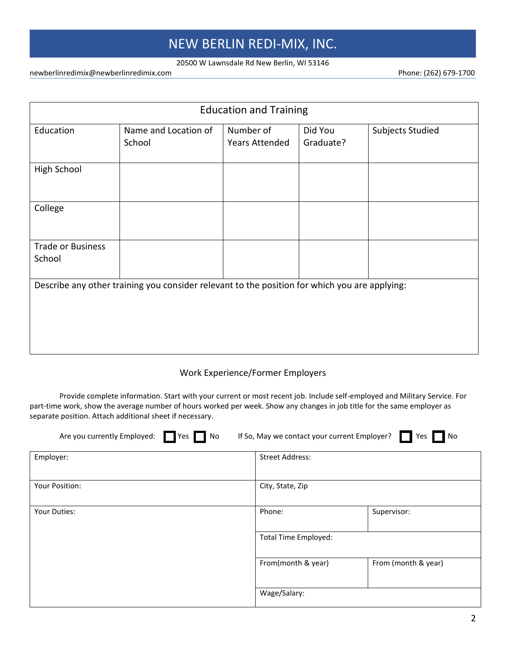### NEW BERLIN REDI-MIX, INC.

#### 20500 W Lawnsdale Rd New Berlin, WI 53146

newberlinredimix@newberlinredimix.com energy and the phone: (262) 679-1700

| <b>Education and Training</b>      |                                                                                               |                                    |                      |                  |
|------------------------------------|-----------------------------------------------------------------------------------------------|------------------------------------|----------------------|------------------|
| Education                          | Name and Location of<br>School                                                                | Number of<br><b>Years Attended</b> | Did You<br>Graduate? | Subjects Studied |
| <b>High School</b>                 |                                                                                               |                                    |                      |                  |
| College                            |                                                                                               |                                    |                      |                  |
| <b>Trade or Business</b><br>School |                                                                                               |                                    |                      |                  |
|                                    | Describe any other training you consider relevant to the position for which you are applying: |                                    |                      |                  |

#### Work Experience/Former Employers

Provide complete information. Start with your current or most recent job. Include self-employed and Military Service. For part-time work, show the average number of hours worked per week. Show any changes in job title for the same employer as separate position. Attach additional sheet if necessary.

| Are you currently Employed: Yes No | If So, May we contact your current Employer? These | $\blacksquare$ No   |
|------------------------------------|----------------------------------------------------|---------------------|
| Employer:                          | <b>Street Address:</b>                             |                     |
| Your Position:                     | City, State, Zip                                   |                     |
| Your Duties:                       | Phone:                                             | Supervisor:         |
|                                    | <b>Total Time Employed:</b>                        |                     |
|                                    | From(month & year)                                 | From (month & year) |
|                                    | Wage/Salary:                                       |                     |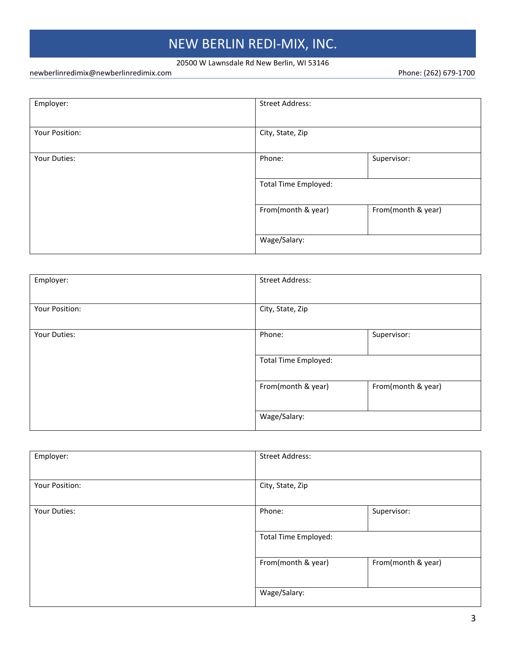# NEW BERLIN REDI-MIX, INC.

#### 20500 W Lawnsdale Rd New Berlin, WI 53146

newberlinredimix@newberlinredimix.com energy and the phone: (262) 679-1700

| Employer:      | <b>Street Address:</b>      |                    |
|----------------|-----------------------------|--------------------|
|                |                             |                    |
| Your Position: | City, State, Zip            |                    |
|                |                             |                    |
| Your Duties:   | Phone:                      | Supervisor:        |
|                | <b>Total Time Employed:</b> |                    |
|                | From(month & year)          | From(month & year) |
|                | Wage/Salary:                |                    |

| Employer:      | <b>Street Address:</b>      |                    |
|----------------|-----------------------------|--------------------|
| Your Position: | City, State, Zip            |                    |
| Your Duties:   | Phone:                      | Supervisor:        |
|                | <b>Total Time Employed:</b> |                    |
|                | From(month & year)          | From(month & year) |
|                | Wage/Salary:                |                    |

| Employer:      | <b>Street Address:</b>      |                    |
|----------------|-----------------------------|--------------------|
| Your Position: | City, State, Zip            |                    |
| Your Duties:   | Phone:                      | Supervisor:        |
|                | <b>Total Time Employed:</b> |                    |
|                | From(month & year)          | From(month & year) |
|                | Wage/Salary:                |                    |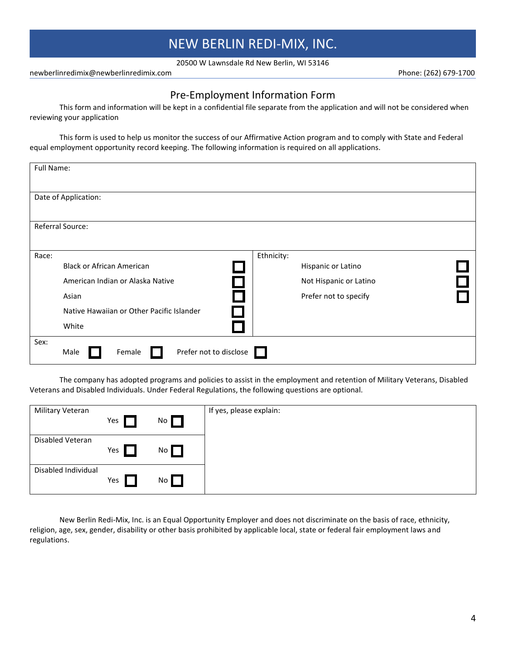20500 W Lawnsdale Rd New Berlin, WI 53146

newberlinredimix@newberlinredimix.com Phone: (262) 679-1700

#### Pre-Employment Information Form

This form and information will be kept in a confidential file separate from the application and will not be considered when reviewing your application

This form is used to help us monitor the success of our Affirmative Action program and to comply with State and Federal equal employment opportunity record keeping. The following information is required on all applications.

| Full Name: |                                           |            |                        |  |
|------------|-------------------------------------------|------------|------------------------|--|
|            |                                           |            |                        |  |
|            | Date of Application:                      |            |                        |  |
|            |                                           |            |                        |  |
|            | Referral Source:                          |            |                        |  |
|            |                                           |            |                        |  |
| Race:      | <b>Black or African American</b>          | Ethnicity: | Hispanic or Latino     |  |
|            | American Indian or Alaska Native          |            | Not Hispanic or Latino |  |
|            | Asian                                     |            | Prefer not to specify  |  |
|            | Native Hawaiian or Other Pacific Islander |            |                        |  |
|            | White                                     |            |                        |  |
| Sex:       | Prefer not to disclose<br>Female<br>Male  |            |                        |  |

The company has adopted programs and policies to assist in the employment and retention of Military Veterans, Disabled Veterans and Disabled Individuals. Under Federal Regulations, the following questions are optional.

| Military Veteran    | Yes | No <sub>l</sub> | If yes, please explain: |
|---------------------|-----|-----------------|-------------------------|
| Disabled Veteran    | Yes | No              |                         |
| Disabled Individual | Yes | No              |                         |

New Berlin Redi-Mix, Inc. is an Equal Opportunity Employer and does not discriminate on the basis of race, ethnicity, religion, age, sex, gender, disability or other basis prohibited by applicable local, state or federal fair employment laws and regulations.